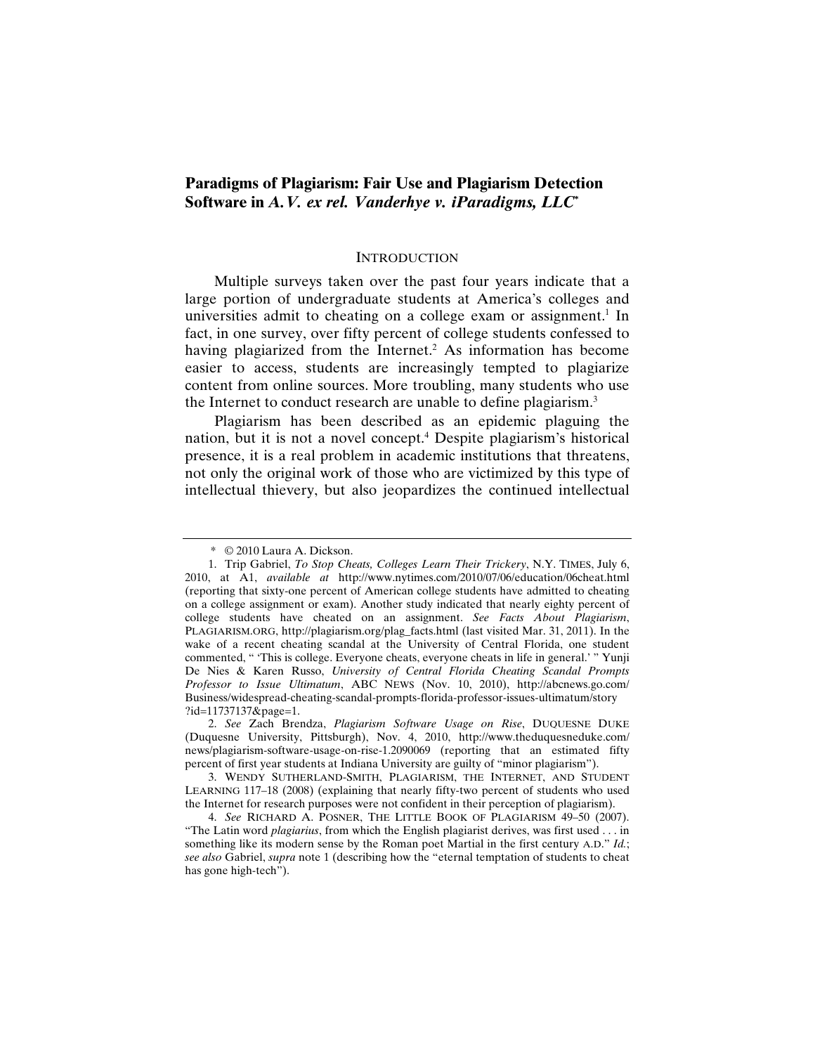# **Paradigms of Plagiarism: Fair Use and Plagiarism Detection Software in** *A.V. ex rel. Vanderhye v. iParadigms, LLC***\***

### **INTRODUCTION**

Multiple surveys taken over the past four years indicate that a large portion of undergraduate students at America's colleges and universities admit to cheating on a college exam or assignment.<sup>1</sup> In fact, in one survey, over fifty percent of college students confessed to having plagiarized from the Internet.<sup>2</sup> As information has become easier to access, students are increasingly tempted to plagiarize content from online sources. More troubling, many students who use the Internet to conduct research are unable to define plagiarism.<sup>3</sup>

Plagiarism has been described as an epidemic plaguing the nation, but it is not a novel concept.4 Despite plagiarism's historical presence, it is a real problem in academic institutions that threatens, not only the original work of those who are victimized by this type of intellectual thievery, but also jeopardizes the continued intellectual

 <sup>\* © 2010</sup> Laura A. Dickson.

 <sup>1.</sup> Trip Gabriel, *To Stop Cheats, Colleges Learn Their Trickery*, N.Y. TIMES, July 6, 2010, at A1, *available at* http://www.nytimes.com/2010/07/06/education/06cheat.html (reporting that sixty-one percent of American college students have admitted to cheating on a college assignment or exam). Another study indicated that nearly eighty percent of college students have cheated on an assignment. *See Facts About Plagiarism*, PLAGIARISM.ORG, http://plagiarism.org/plag\_facts.html (last visited Mar. 31, 2011). In the wake of a recent cheating scandal at the University of Central Florida, one student commented, " 'This is college. Everyone cheats, everyone cheats in life in general.' " Yunji De Nies & Karen Russo, *University of Central Florida Cheating Scandal Prompts Professor to Issue Ultimatum*, ABC NEWS (Nov. 10, 2010), http://abcnews.go.com/ Business/widespread-cheating-scandal-prompts-florida-professor-issues-ultimatum/story ?id=11737137&page=1.

 <sup>2.</sup> *See* Zach Brendza, *Plagiarism Software Usage on Rise*, DUQUESNE DUKE (Duquesne University, Pittsburgh), Nov. 4, 2010, http://www.theduquesneduke.com/ news/plagiarism-software-usage-on-rise-1.2090069 (reporting that an estimated fifty percent of first year students at Indiana University are guilty of "minor plagiarism").

 <sup>3.</sup> WENDY SUTHERLAND-SMITH, PLAGIARISM, THE INTERNET, AND STUDENT LEARNING 117–18 (2008) (explaining that nearly fifty-two percent of students who used the Internet for research purposes were not confident in their perception of plagiarism).

 <sup>4.</sup> *See* RICHARD A. POSNER, THE LITTLE BOOK OF PLAGIARISM 49–50 (2007). "The Latin word *plagiarius*, from which the English plagiarist derives, was first used . . . in something like its modern sense by the Roman poet Martial in the first century A.D." *Id.*; *see also* Gabriel, *supra* note 1 (describing how the "eternal temptation of students to cheat has gone high-tech").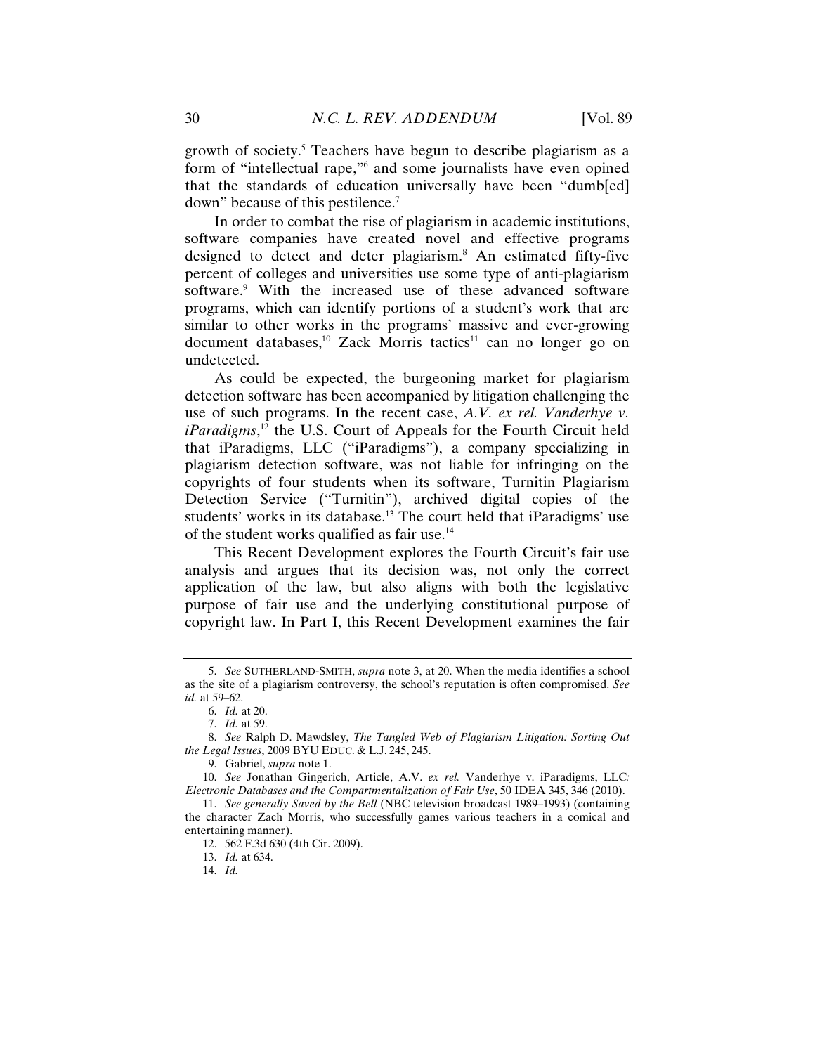growth of society.<sup>5</sup> Teachers have begun to describe plagiarism as a form of "intellectual rape,"6 and some journalists have even opined that the standards of education universally have been "dumb[ed] down" because of this pestilence.7

In order to combat the rise of plagiarism in academic institutions, software companies have created novel and effective programs designed to detect and deter plagiarism.8 An estimated fifty-five percent of colleges and universities use some type of anti-plagiarism software.<sup>9</sup> With the increased use of these advanced software programs, which can identify portions of a student's work that are similar to other works in the programs' massive and ever-growing document databases,<sup>10</sup> Zack Morris tactics<sup>11</sup> can no longer go on undetected.

As could be expected, the burgeoning market for plagiarism detection software has been accompanied by litigation challenging the use of such programs. In the recent case, *A.V. ex rel. Vanderhye v. iParadigms*, 12 the U.S. Court of Appeals for the Fourth Circuit held that iParadigms, LLC ("iParadigms"), a company specializing in plagiarism detection software, was not liable for infringing on the copyrights of four students when its software, Turnitin Plagiarism Detection Service ("Turnitin"), archived digital copies of the students' works in its database.<sup>13</sup> The court held that iParadigms' use of the student works qualified as fair use.14

This Recent Development explores the Fourth Circuit's fair use analysis and argues that its decision was, not only the correct application of the law, but also aligns with both the legislative purpose of fair use and the underlying constitutional purpose of copyright law. In Part I, this Recent Development examines the fair

 <sup>5.</sup> *See* SUTHERLAND-SMITH, *supra* note 3, at 20. When the media identifies a school as the site of a plagiarism controversy, the school's reputation is often compromised. *See id.* at 59–62.

 <sup>6.</sup> *Id.* at 20.

 <sup>7.</sup> *Id.* at 59.

 <sup>8.</sup> *See* Ralph D. Mawdsley, *The Tangled Web of Plagiarism Litigation: Sorting Out the Legal Issues*, 2009 BYU EDUC. & L.J. 245, 245.

 <sup>9.</sup> Gabriel, *supra* note 1.

 <sup>10.</sup> *See* Jonathan Gingerich, Article, A.V. *ex rel.* Vanderhye v. iParadigms, LLC*: Electronic Databases and the Compartmentalization of Fair Use*, 50 IDEA 345, 346 (2010).

 <sup>11.</sup> *See generally Saved by the Bell* (NBC television broadcast 1989–1993) (containing the character Zach Morris, who successfully games various teachers in a comical and entertaining manner).

 <sup>12. 562</sup> F.3d 630 (4th Cir. 2009).

 <sup>13.</sup> *Id.* at 634.

 <sup>14.</sup> *Id.*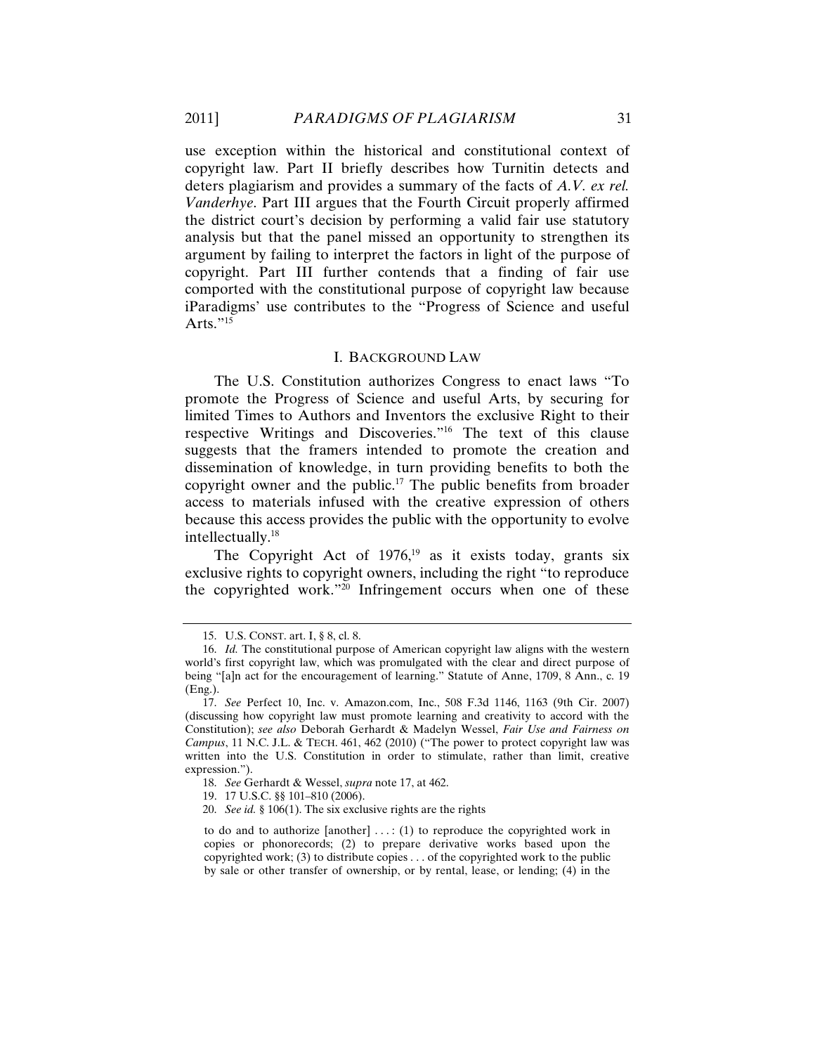use exception within the historical and constitutional context of copyright law. Part II briefly describes how Turnitin detects and deters plagiarism and provides a summary of the facts of *A.V. ex rel. Vanderhye*. Part III argues that the Fourth Circuit properly affirmed the district court's decision by performing a valid fair use statutory analysis but that the panel missed an opportunity to strengthen its argument by failing to interpret the factors in light of the purpose of copyright. Part III further contends that a finding of fair use comported with the constitutional purpose of copyright law because iParadigms' use contributes to the "Progress of Science and useful Arts." $15$ 

### I. BACKGROUND LAW

The U.S. Constitution authorizes Congress to enact laws "To promote the Progress of Science and useful Arts, by securing for limited Times to Authors and Inventors the exclusive Right to their respective Writings and Discoveries."16 The text of this clause suggests that the framers intended to promote the creation and dissemination of knowledge, in turn providing benefits to both the copyright owner and the public.17 The public benefits from broader access to materials infused with the creative expression of others because this access provides the public with the opportunity to evolve intellectually.18

The Copyright Act of 1976,<sup>19</sup> as it exists today, grants six exclusive rights to copyright owners, including the right "to reproduce the copyrighted work."20 Infringement occurs when one of these

 <sup>15.</sup> U.S. CONST. art. I, § 8, cl. 8.

 <sup>16.</sup> *Id.* The constitutional purpose of American copyright law aligns with the western world's first copyright law, which was promulgated with the clear and direct purpose of being "[a]n act for the encouragement of learning." Statute of Anne, 1709, 8 Ann., c. 19 (Eng.).

 <sup>17.</sup> *See* Perfect 10, Inc. v. Amazon.com, Inc., 508 F.3d 1146, 1163 (9th Cir. 2007) (discussing how copyright law must promote learning and creativity to accord with the Constitution); *see also* Deborah Gerhardt & Madelyn Wessel, *Fair Use and Fairness on Campus*, 11 N.C. J.L. & TECH. 461, 462 (2010) ("The power to protect copyright law was written into the U.S. Constitution in order to stimulate, rather than limit, creative expression.").

 <sup>18.</sup> *See* Gerhardt & Wessel, *supra* note 17, at 462.

 <sup>19. 17</sup> U.S.C. §§ 101–810 (2006).

 <sup>20.</sup> *See id.* § 106(1). The six exclusive rights are the rights

to do and to authorize  $[another] \ldots$ : (1) to reproduce the copyrighted work in copies or phonorecords; (2) to prepare derivative works based upon the copyrighted work; (3) to distribute copies . . . of the copyrighted work to the public by sale or other transfer of ownership, or by rental, lease, or lending; (4) in the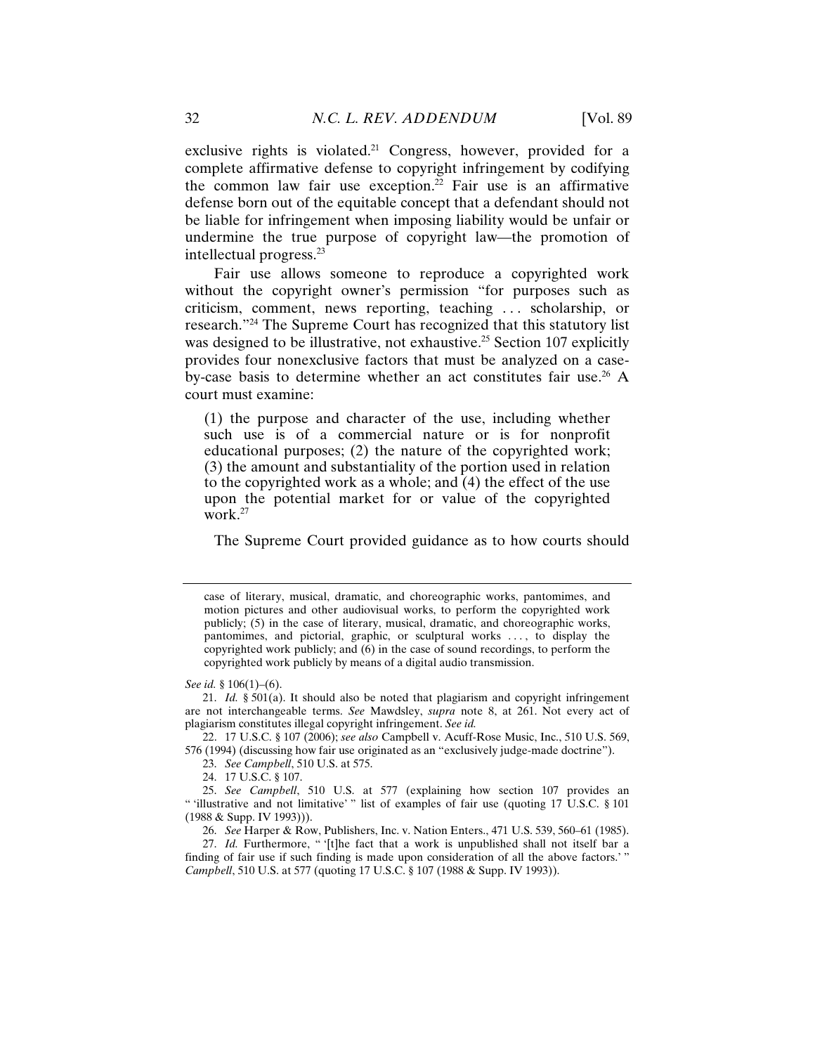exclusive rights is violated.<sup>21</sup> Congress, however, provided for a complete affirmative defense to copyright infringement by codifying the common law fair use exception.<sup>22</sup> Fair use is an affirmative defense born out of the equitable concept that a defendant should not be liable for infringement when imposing liability would be unfair or undermine the true purpose of copyright law—the promotion of intellectual progress.23

Fair use allows someone to reproduce a copyrighted work without the copyright owner's permission "for purposes such as criticism, comment, news reporting, teaching . . . scholarship, or research."24 The Supreme Court has recognized that this statutory list was designed to be illustrative, not exhaustive.<sup>25</sup> Section 107 explicitly provides four nonexclusive factors that must be analyzed on a caseby-case basis to determine whether an act constitutes fair use.<sup>26</sup> A court must examine:

(1) the purpose and character of the use, including whether such use is of a commercial nature or is for nonprofit educational purposes; (2) the nature of the copyrighted work; (3) the amount and substantiality of the portion used in relation to the copyrighted work as a whole; and (4) the effect of the use upon the potential market for or value of the copyrighted work. $27$ 

The Supreme Court provided guidance as to how courts should

- 23. *See Campbell*, 510 U.S. at 575.
- 24. 17 U.S.C. § 107.

case of literary, musical, dramatic, and choreographic works, pantomimes, and motion pictures and other audiovisual works, to perform the copyrighted work publicly; (5) in the case of literary, musical, dramatic, and choreographic works, pantomimes, and pictorial, graphic, or sculptural works . . . , to display the copyrighted work publicly; and  $(6)$  in the case of sound recordings, to perform the copyrighted work publicly by means of a digital audio transmission.

*See id.* § 106(1)–(6).

 <sup>21.</sup> *Id.* § 501(a). It should also be noted that plagiarism and copyright infringement are not interchangeable terms. *See* Mawdsley, *supra* note 8, at 261. Not every act of plagiarism constitutes illegal copyright infringement. *See id.*

 <sup>22. 17</sup> U.S.C. § 107 (2006); *see also* Campbell v. Acuff-Rose Music, Inc., 510 U.S. 569, 576 (1994) (discussing how fair use originated as an "exclusively judge-made doctrine").

 <sup>25.</sup> *See Campbell*, 510 U.S. at 577 (explaining how section 107 provides an " 'illustrative and not limitative' " list of examples of fair use (quoting 17 U.S.C. § 101 (1988 & Supp. IV 1993))).

 <sup>26.</sup> *See* Harper & Row, Publishers, Inc. v. Nation Enters., 471 U.S. 539, 560–61 (1985).

<sup>27.</sup> *Id.* Furthermore, "'[t]he fact that a work is unpublished shall not itself bar a finding of fair use if such finding is made upon consideration of all the above factors.' " *Campbell*, 510 U.S. at 577 (quoting 17 U.S.C. § 107 (1988 & Supp. IV 1993)).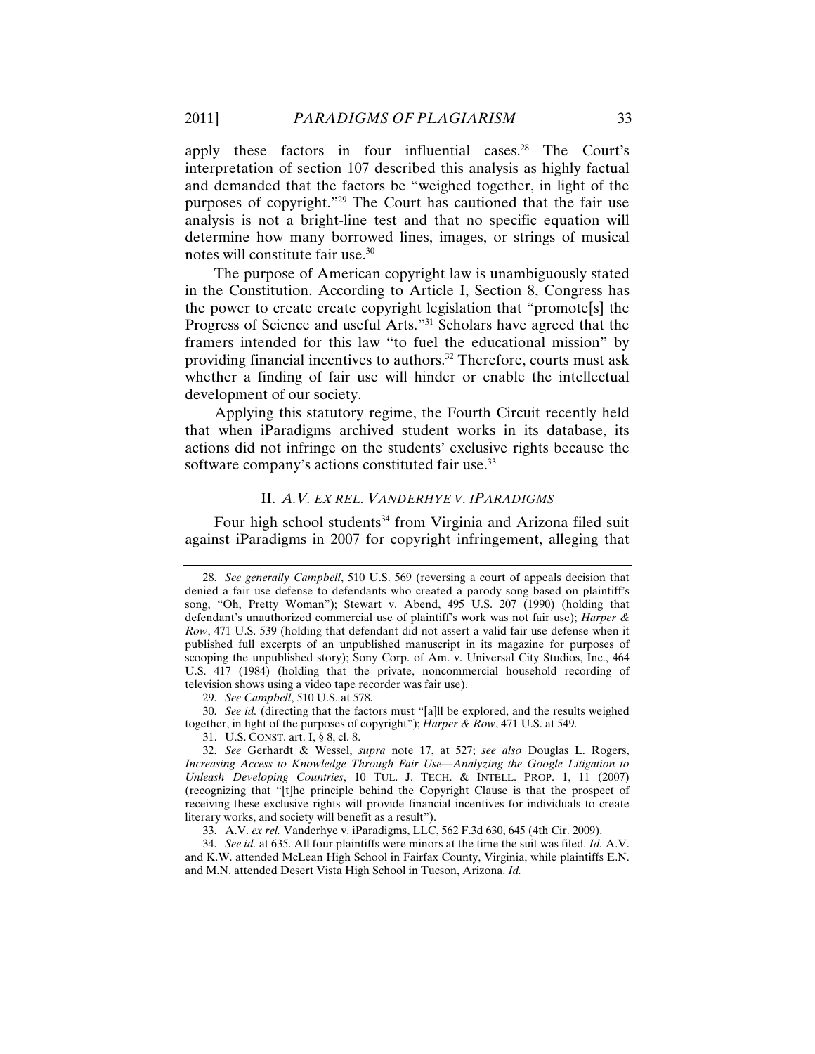apply these factors in four influential cases.28 The Court's interpretation of section 107 described this analysis as highly factual and demanded that the factors be "weighed together, in light of the purposes of copyright."29 The Court has cautioned that the fair use analysis is not a bright-line test and that no specific equation will determine how many borrowed lines, images, or strings of musical notes will constitute fair use.30

The purpose of American copyright law is unambiguously stated in the Constitution. According to Article I, Section 8, Congress has the power to create create copyright legislation that "promote[s] the Progress of Science and useful Arts."31 Scholars have agreed that the framers intended for this law "to fuel the educational mission" by providing financial incentives to authors.32 Therefore, courts must ask whether a finding of fair use will hinder or enable the intellectual development of our society.

Applying this statutory regime, the Fourth Circuit recently held that when iParadigms archived student works in its database, its actions did not infringe on the students' exclusive rights because the software company's actions constituted fair use.<sup>33</sup>

## II. *A.V. EX REL. VANDERHYE V. IPARADIGMS*

Four high school students<sup>34</sup> from Virginia and Arizona filed suit against iParadigms in 2007 for copyright infringement, alleging that

29. *See Campbell*, 510 U.S. at 578.

 30. *See id.* (directing that the factors must "[a]ll be explored, and the results weighed together, in light of the purposes of copyright"); *Harper & Row*, 471 U.S. at 549.

31. U.S. CONST. art. I, § 8, cl. 8.

33. A.V. *ex rel.* Vanderhye v. iParadigms, LLC, 562 F.3d 630, 645 (4th Cir. 2009).

 34. *See id.* at 635. All four plaintiffs were minors at the time the suit was filed. *Id.* A.V. and K.W. attended McLean High School in Fairfax County, Virginia, while plaintiffs E.N. and M.N. attended Desert Vista High School in Tucson, Arizona. *Id.*

 <sup>28.</sup> *See generally Campbell*, 510 U.S. 569 (reversing a court of appeals decision that denied a fair use defense to defendants who created a parody song based on plaintiff's song, "Oh, Pretty Woman"); Stewart v. Abend, 495 U.S. 207 (1990) (holding that defendant's unauthorized commercial use of plaintiff's work was not fair use); *Harper & Row*, 471 U.S. 539 (holding that defendant did not assert a valid fair use defense when it published full excerpts of an unpublished manuscript in its magazine for purposes of scooping the unpublished story); Sony Corp. of Am. v. Universal City Studios, Inc., 464 U.S. 417 (1984) (holding that the private, noncommercial household recording of television shows using a video tape recorder was fair use).

 <sup>32.</sup> *See* Gerhardt & Wessel, *supra* note 17, at 527; *see also* Douglas L. Rogers, *Increasing Access to Knowledge Through Fair Use—Analyzing the Google Litigation to Unleash Developing Countries*, 10 TUL. J. TECH. & INTELL. PROP. 1, 11 (2007) (recognizing that "[t]he principle behind the Copyright Clause is that the prospect of receiving these exclusive rights will provide financial incentives for individuals to create literary works, and society will benefit as a result").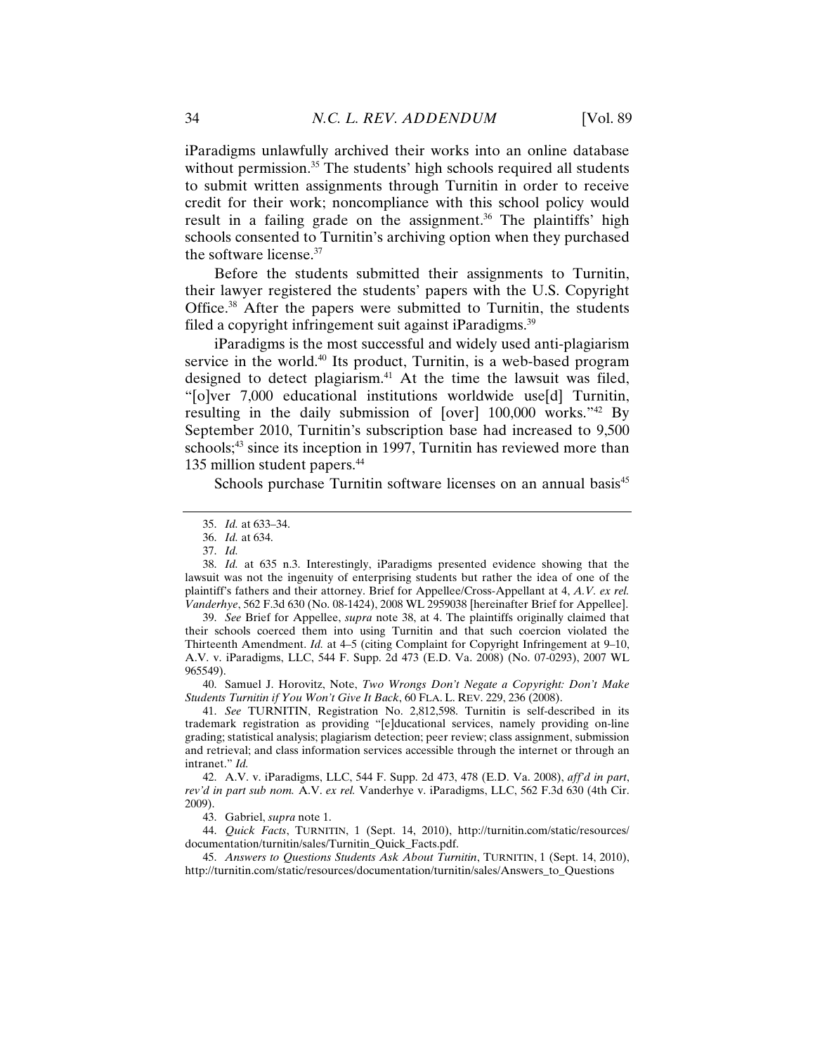iParadigms unlawfully archived their works into an online database without permission.<sup>35</sup> The students' high schools required all students to submit written assignments through Turnitin in order to receive credit for their work; noncompliance with this school policy would result in a failing grade on the assignment.<sup>36</sup> The plaintiffs' high schools consented to Turnitin's archiving option when they purchased the software license.37

Before the students submitted their assignments to Turnitin, their lawyer registered the students' papers with the U.S. Copyright Office.38 After the papers were submitted to Turnitin, the students filed a copyright infringement suit against iParadigms.<sup>39</sup>

iParadigms is the most successful and widely used anti-plagiarism service in the world.<sup>40</sup> Its product, Turnitin, is a web-based program designed to detect plagiarism.<sup>41</sup> At the time the lawsuit was filed, "[o]ver 7,000 educational institutions worldwide use[d] Turnitin, resulting in the daily submission of [over] 100,000 works."42 By September 2010, Turnitin's subscription base had increased to 9,500 schools;<sup>43</sup> since its inception in 1997, Turnitin has reviewed more than 135 million student papers.<sup>44</sup>

Schools purchase Turnitin software licenses on an annual basis<sup>45</sup>

 39. *See* Brief for Appellee, *supra* note 38, at 4. The plaintiffs originally claimed that their schools coerced them into using Turnitin and that such coercion violated the Thirteenth Amendment. *Id.* at 4–5 (citing Complaint for Copyright Infringement at 9–10, A.V. v. iParadigms, LLC, 544 F. Supp. 2d 473 (E.D. Va. 2008) (No. 07-0293), 2007 WL 965549).

 40. Samuel J. Horovitz, Note, *Two Wrongs Don't Negate a Copyright: Don't Make Students Turnitin if You Won't Give It Back*, 60 FLA. L. REV. 229, 236 (2008).

 41. *See* TURNITIN, Registration No. 2,812,598. Turnitin is self-described in its trademark registration as providing "[e]ducational services, namely providing on-line grading; statistical analysis; plagiarism detection; peer review; class assignment, submission and retrieval; and class information services accessible through the internet or through an intranet." *Id.* 

 42. A.V. v. iParadigms, LLC, 544 F. Supp. 2d 473, 478 (E.D. Va. 2008), *aff'd in part*, *rev'd in part sub nom.* A.V. *ex rel.* Vanderhye v. iParadigms, LLC, 562 F.3d 630 (4th Cir. 2009).

43. Gabriel, *supra* note 1.

 44. *Quick Facts*, TURNITIN, 1 (Sept. 14, 2010), http://turnitin.com/static/resources/ documentation/turnitin/sales/Turnitin\_Quick\_Facts.pdf.

 45. *Answers to Questions Students Ask About Turnitin*, TURNITIN, 1 (Sept. 14, 2010), http://turnitin.com/static/resources/documentation/turnitin/sales/Answers\_to\_Questions

 <sup>35.</sup> *Id.* at 633–34.

 <sup>36.</sup> *Id.* at 634.

 <sup>37.</sup> *Id.*

 <sup>38.</sup> *Id.* at 635 n.3. Interestingly, iParadigms presented evidence showing that the lawsuit was not the ingenuity of enterprising students but rather the idea of one of the plaintiff's fathers and their attorney. Brief for Appellee/Cross-Appellant at 4, *A.V. ex rel. Vanderhye*, 562 F.3d 630 (No. 08-1424), 2008 WL 2959038 [hereinafter Brief for Appellee].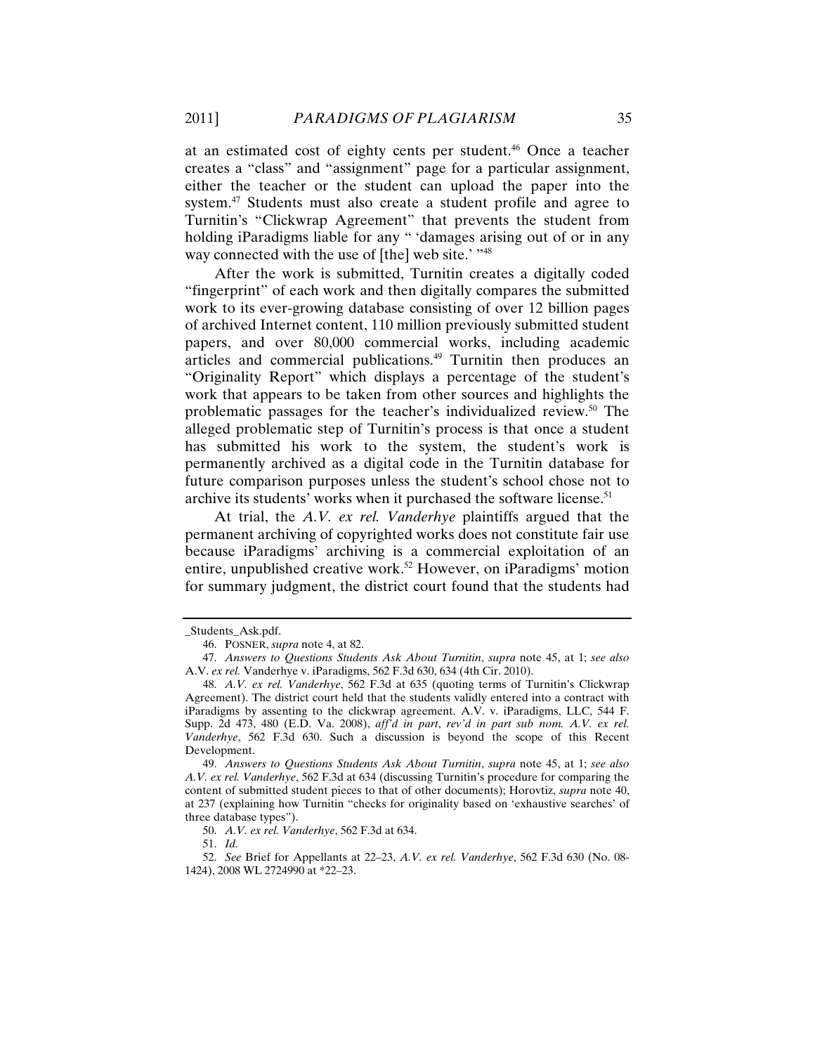at an estimated cost of eighty cents per student.46 Once a teacher creates a "class" and "assignment" page for a particular assignment, either the teacher or the student can upload the paper into the system.<sup>47</sup> Students must also create a student profile and agree to Turnitin's "Clickwrap Agreement" that prevents the student from holding iParadigms liable for any " 'damages arising out of or in any way connected with the use of [the] web site.' "<sup>48</sup>

After the work is submitted, Turnitin creates a digitally coded "fingerprint" of each work and then digitally compares the submitted work to its ever-growing database consisting of over 12 billion pages of archived Internet content, 110 million previously submitted student papers, and over 80,000 commercial works, including academic articles and commercial publications.49 Turnitin then produces an "Originality Report" which displays a percentage of the student's work that appears to be taken from other sources and highlights the problematic passages for the teacher's individualized review.50 The alleged problematic step of Turnitin's process is that once a student has submitted his work to the system, the student's work is permanently archived as a digital code in the Turnitin database for future comparison purposes unless the student's school chose not to archive its students' works when it purchased the software license.<sup>51</sup>

At trial, the *A.V. ex rel. Vanderhye* plaintiffs argued that the permanent archiving of copyrighted works does not constitute fair use because iParadigms' archiving is a commercial exploitation of an entire, unpublished creative work.<sup>52</sup> However, on iParadigms' motion for summary judgment, the district court found that the students had

50. *A.V. ex rel. Vanderhye*, 562 F.3d at 634.

51. *Id.*

 52. *See* Brief for Appellants at 22–23, *A.V. ex rel. Vanderhye*, 562 F.3d 630 (No. 08- 1424), 2008 WL 2724990 at \*22–23.

\_Students\_Ask.pdf.

 <sup>46.</sup> POSNER, *supra* note 4, at 82.

 <sup>47.</sup> *Answers to Questions Students Ask About Turnitin*, *supra* note 45, at 1; *see also* A.V. *ex rel.* Vanderhye v. iParadigms, 562 F.3d 630, 634 (4th Cir. 2010).

 <sup>48.</sup> *A.V. ex rel. Vanderhye*, 562 F.3d at 635 (quoting terms of Turnitin's Clickwrap Agreement). The district court held that the students validly entered into a contract with iParadigms by assenting to the clickwrap agreement. A.V. v. iParadigms, LLC, 544 F. Supp. 2d 473, 480 (E.D. Va. 2008), *aff'd in part*, *rev'd in part sub nom. A.V. ex rel. Vanderhye*, 562 F.3d 630. Such a discussion is beyond the scope of this Recent Development.

 <sup>49.</sup> *Answers to Questions Students Ask About Turnitin*, *supra* note 45, at 1; *see also A.V. ex rel. Vanderhye*, 562 F.3d at 634 (discussing Turnitin's procedure for comparing the content of submitted student pieces to that of other documents); Horovtiz, *supra* note 40, at 237 (explaining how Turnitin "checks for originality based on 'exhaustive searches' of three database types").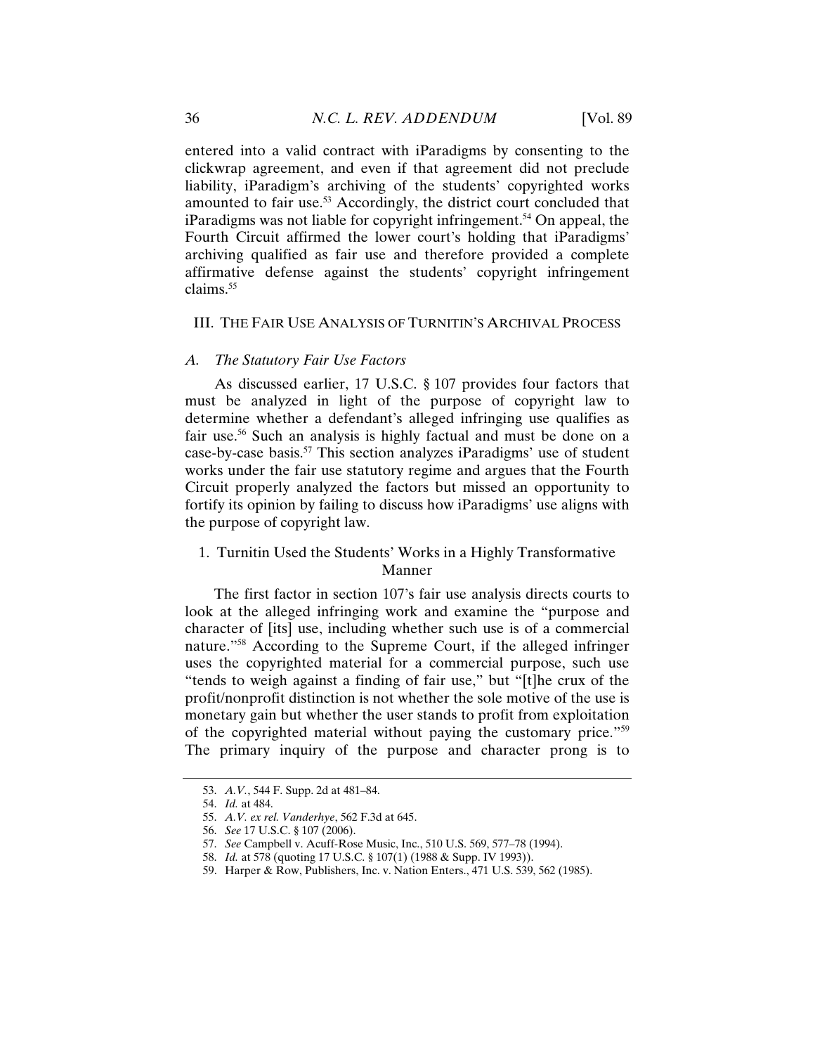entered into a valid contract with iParadigms by consenting to the clickwrap agreement, and even if that agreement did not preclude liability, iParadigm's archiving of the students' copyrighted works amounted to fair use.<sup>53</sup> Accordingly, the district court concluded that iParadigms was not liable for copyright infringement.<sup>54</sup> On appeal, the Fourth Circuit affirmed the lower court's holding that iParadigms' archiving qualified as fair use and therefore provided a complete affirmative defense against the students' copyright infringement  $claims<sup>55</sup>$ 

#### III. THE FAIR USE ANALYSIS OF TURNITIN'S ARCHIVAL PROCESS

### *A. The Statutory Fair Use Factors*

As discussed earlier, 17 U.S.C. § 107 provides four factors that must be analyzed in light of the purpose of copyright law to determine whether a defendant's alleged infringing use qualifies as fair use.<sup>56</sup> Such an analysis is highly factual and must be done on a case-by-case basis.57 This section analyzes iParadigms' use of student works under the fair use statutory regime and argues that the Fourth Circuit properly analyzed the factors but missed an opportunity to fortify its opinion by failing to discuss how iParadigms' use aligns with the purpose of copyright law.

# 1. Turnitin Used the Students' Works in a Highly Transformative Manner

The first factor in section 107's fair use analysis directs courts to look at the alleged infringing work and examine the "purpose and character of [its] use, including whether such use is of a commercial nature."58 According to the Supreme Court, if the alleged infringer uses the copyrighted material for a commercial purpose, such use "tends to weigh against a finding of fair use," but "[t]he crux of the profit/nonprofit distinction is not whether the sole motive of the use is monetary gain but whether the user stands to profit from exploitation of the copyrighted material without paying the customary price."59 The primary inquiry of the purpose and character prong is to

 <sup>53.</sup> *A.V.*, 544 F. Supp. 2d at 481–84.

 <sup>54.</sup> *Id.* at 484.

 <sup>55.</sup> *A.V. ex rel. Vanderhye*, 562 F.3d at 645.

 <sup>56.</sup> *See* 17 U.S.C. § 107 (2006).

 <sup>57.</sup> *See* Campbell v. Acuff-Rose Music, Inc., 510 U.S. 569, 577–78 (1994).

 <sup>58.</sup> *Id.* at 578 (quoting 17 U.S.C. § 107(1) (1988 & Supp. IV 1993)).

 <sup>59.</sup> Harper & Row, Publishers, Inc. v. Nation Enters., 471 U.S. 539, 562 (1985).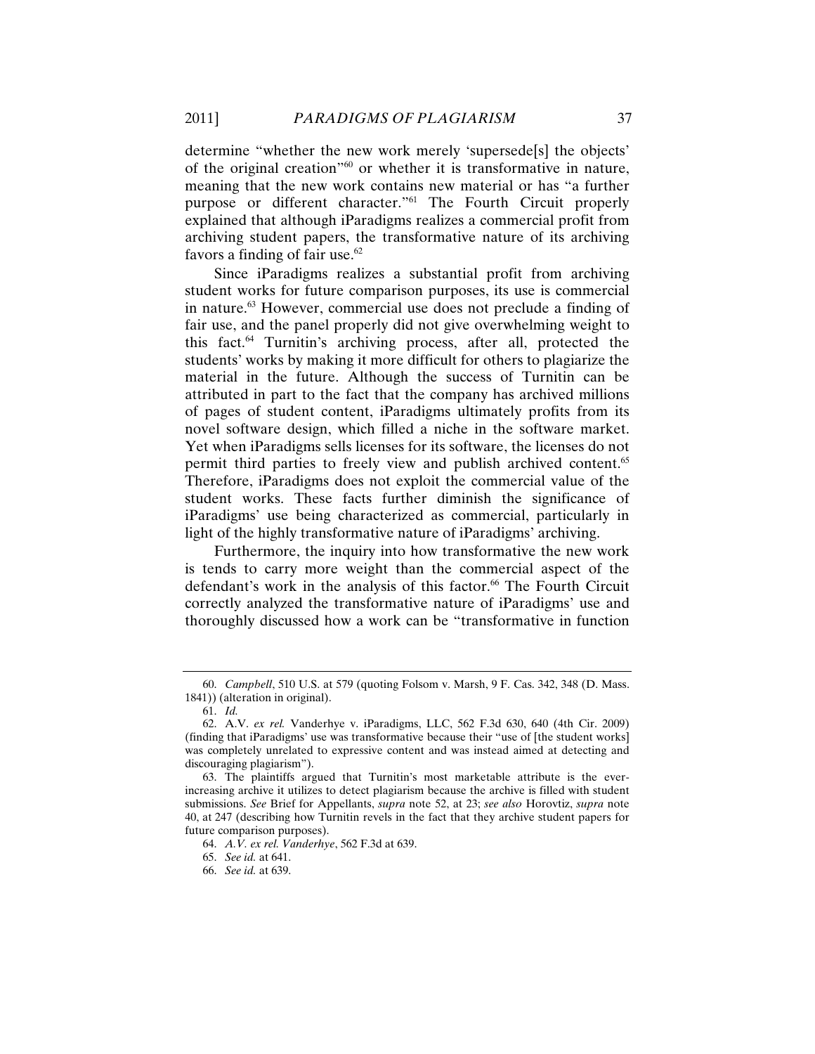determine "whether the new work merely 'supersede[s] the objects' of the original creation"60 or whether it is transformative in nature, meaning that the new work contains new material or has "a further purpose or different character."61 The Fourth Circuit properly explained that although iParadigms realizes a commercial profit from archiving student papers, the transformative nature of its archiving favors a finding of fair use. $62$ 

Since iParadigms realizes a substantial profit from archiving student works for future comparison purposes, its use is commercial in nature.63 However, commercial use does not preclude a finding of fair use, and the panel properly did not give overwhelming weight to this fact.64 Turnitin's archiving process, after all, protected the students' works by making it more difficult for others to plagiarize the material in the future. Although the success of Turnitin can be attributed in part to the fact that the company has archived millions of pages of student content, iParadigms ultimately profits from its novel software design, which filled a niche in the software market. Yet when iParadigms sells licenses for its software, the licenses do not permit third parties to freely view and publish archived content.<sup>65</sup> Therefore, iParadigms does not exploit the commercial value of the student works. These facts further diminish the significance of iParadigms' use being characterized as commercial, particularly in light of the highly transformative nature of iParadigms' archiving.

Furthermore, the inquiry into how transformative the new work is tends to carry more weight than the commercial aspect of the defendant's work in the analysis of this factor.<sup>66</sup> The Fourth Circuit correctly analyzed the transformative nature of iParadigms' use and thoroughly discussed how a work can be "transformative in function

 <sup>60.</sup> *Campbell*, 510 U.S. at 579 (quoting Folsom v. Marsh, 9 F. Cas. 342, 348 (D. Mass. 1841)) (alteration in original).

 <sup>61.</sup> *Id.*

 <sup>62.</sup> A.V. *ex rel.* Vanderhye v. iParadigms, LLC, 562 F.3d 630, 640 (4th Cir. 2009) (finding that iParadigms' use was transformative because their "use of [the student works] was completely unrelated to expressive content and was instead aimed at detecting and discouraging plagiarism").

 <sup>63.</sup> The plaintiffs argued that Turnitin's most marketable attribute is the everincreasing archive it utilizes to detect plagiarism because the archive is filled with student submissions. *See* Brief for Appellants, *supra* note 52, at 23; *see also* Horovtiz, *supra* note 40, at 247 (describing how Turnitin revels in the fact that they archive student papers for future comparison purposes).

 <sup>64.</sup> *A.V. ex rel. Vanderhye*, 562 F.3d at 639.

 <sup>65.</sup> *See id.* at 641.

 <sup>66.</sup> *See id.* at 639.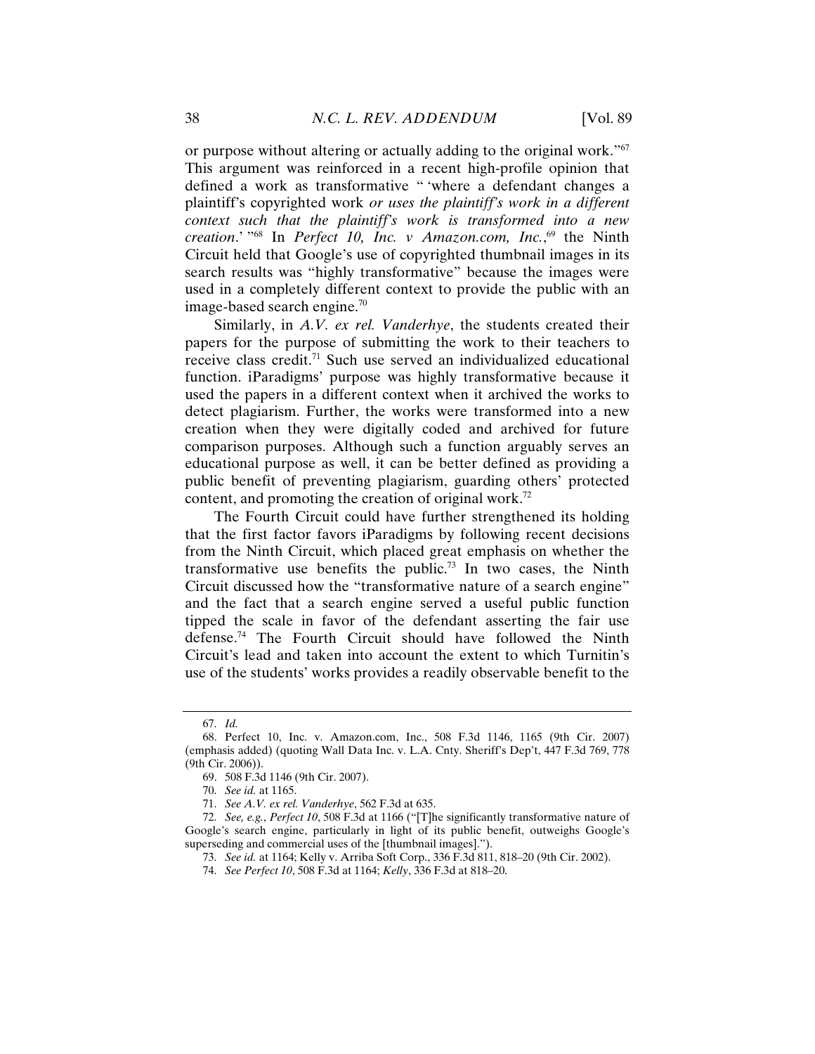or purpose without altering or actually adding to the original work."67 This argument was reinforced in a recent high-profile opinion that defined a work as transformative " 'where a defendant changes a plaintiff's copyrighted work *or uses the plaintiff's work in a different context such that the plaintiff's work is transformed into a new creation*.' "68 In *Perfect 10, Inc. v Amazon.com, Inc.*, 69 the Ninth Circuit held that Google's use of copyrighted thumbnail images in its search results was "highly transformative" because the images were used in a completely different context to provide the public with an image-based search engine.70

Similarly, in *A.V. ex rel. Vanderhye*, the students created their papers for the purpose of submitting the work to their teachers to receive class credit.<sup>71</sup> Such use served an individualized educational function. iParadigms' purpose was highly transformative because it used the papers in a different context when it archived the works to detect plagiarism. Further, the works were transformed into a new creation when they were digitally coded and archived for future comparison purposes. Although such a function arguably serves an educational purpose as well, it can be better defined as providing a public benefit of preventing plagiarism, guarding others' protected content, and promoting the creation of original work.72

The Fourth Circuit could have further strengthened its holding that the first factor favors iParadigms by following recent decisions from the Ninth Circuit, which placed great emphasis on whether the transformative use benefits the public.<sup>73</sup> In two cases, the Ninth Circuit discussed how the "transformative nature of a search engine" and the fact that a search engine served a useful public function tipped the scale in favor of the defendant asserting the fair use defense.74 The Fourth Circuit should have followed the Ninth Circuit's lead and taken into account the extent to which Turnitin's use of the students' works provides a readily observable benefit to the

 <sup>67.</sup> *Id.*

 <sup>68.</sup> Perfect 10, Inc. v. Amazon.com, Inc., 508 F.3d 1146, 1165 (9th Cir. 2007) (emphasis added) (quoting Wall Data Inc. v. L.A. Cnty. Sheriff's Dep't, 447 F.3d 769, 778 (9th Cir. 2006)).

 <sup>69. 508</sup> F.3d 1146 (9th Cir. 2007).

 <sup>70.</sup> *See id.* at 1165.

 <sup>71.</sup> *See A.V. ex rel. Vanderhye*, 562 F.3d at 635.

 <sup>72.</sup> *See, e.g.*, *Perfect 10*, 508 F.3d at 1166 ("[T]he significantly transformative nature of Google's search engine, particularly in light of its public benefit, outweighs Google's superseding and commercial uses of the [thumbnail images].").

 <sup>73.</sup> *See id.* at 1164; Kelly v. Arriba Soft Corp., 336 F.3d 811, 818–20 (9th Cir. 2002).

 <sup>74.</sup> *See Perfect 10*, 508 F.3d at 1164; *Kelly*, 336 F.3d at 818–20.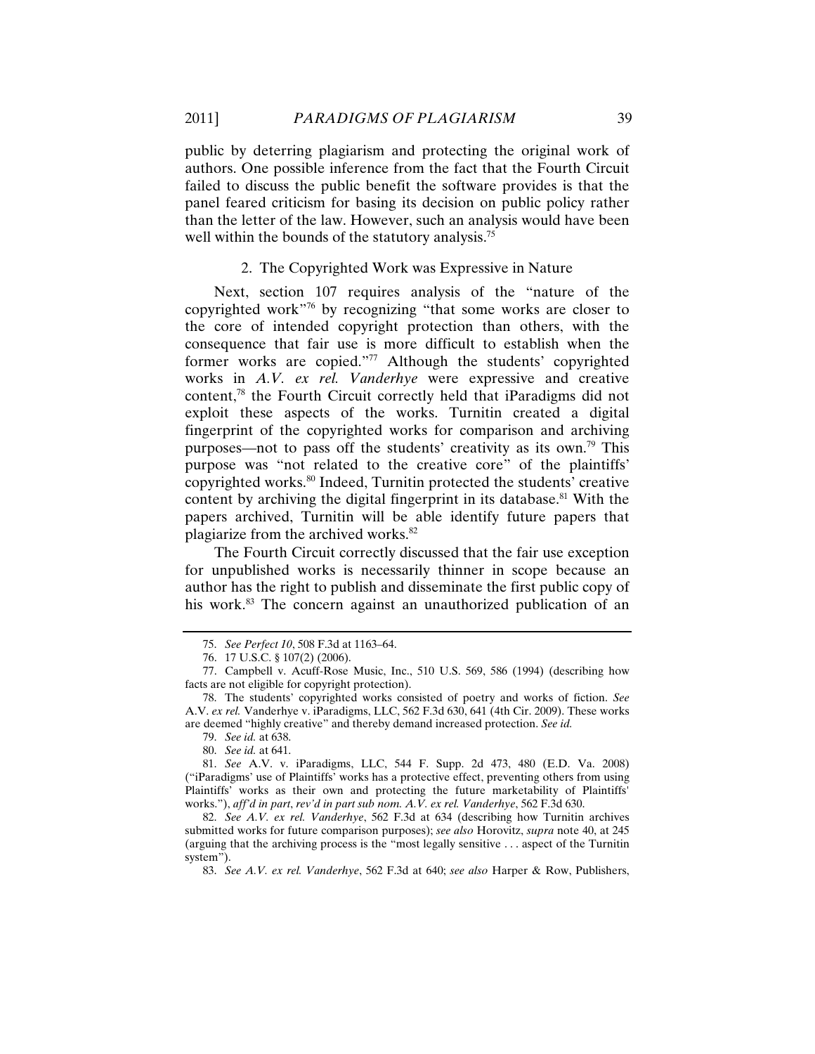public by deterring plagiarism and protecting the original work of authors. One possible inference from the fact that the Fourth Circuit failed to discuss the public benefit the software provides is that the panel feared criticism for basing its decision on public policy rather than the letter of the law. However, such an analysis would have been well within the bounds of the statutory analysis.<sup>75</sup>

#### 2. The Copyrighted Work was Expressive in Nature

Next, section 107 requires analysis of the "nature of the copyrighted work"76 by recognizing "that some works are closer to the core of intended copyright protection than others, with the consequence that fair use is more difficult to establish when the former works are copied."77 Although the students' copyrighted works in *A.V. ex rel. Vanderhye* were expressive and creative content,78 the Fourth Circuit correctly held that iParadigms did not exploit these aspects of the works. Turnitin created a digital fingerprint of the copyrighted works for comparison and archiving purposes—not to pass off the students' creativity as its own.<sup>79</sup> This purpose was "not related to the creative core" of the plaintiffs' copyrighted works.<sup>80</sup> Indeed, Turnitin protected the students' creative content by archiving the digital fingerprint in its database.<sup>81</sup> With the papers archived, Turnitin will be able identify future papers that plagiarize from the archived works.82

The Fourth Circuit correctly discussed that the fair use exception for unpublished works is necessarily thinner in scope because an author has the right to publish and disseminate the first public copy of his work.<sup>83</sup> The concern against an unauthorized publication of an

 <sup>75.</sup> *See Perfect 10*, 508 F.3d at 1163–64.

 <sup>76. 17</sup> U.S.C. § 107(2) (2006).

 <sup>77.</sup> Campbell v. Acuff-Rose Music, Inc., 510 U.S. 569, 586 (1994) (describing how facts are not eligible for copyright protection).

 <sup>78.</sup> The students' copyrighted works consisted of poetry and works of fiction. *See* A.V. *ex rel.* Vanderhye v. iParadigms, LLC, 562 F.3d 630, 641 (4th Cir. 2009). These works are deemed "highly creative" and thereby demand increased protection. *See id.*

 <sup>79.</sup> *See id.* at 638.

 <sup>80.</sup> *See id.* at 641.

 <sup>81.</sup> *See* A.V. v. iParadigms, LLC, 544 F. Supp. 2d 473, 480 (E.D. Va. 2008) ("iParadigms' use of Plaintiffs' works has a protective effect, preventing others from using Plaintiffs' works as their own and protecting the future marketability of Plaintiffs' works."), *aff'd in part*, *rev'd in part sub nom. A.V. ex rel. Vanderhye*, 562 F.3d 630.

 <sup>82.</sup> *See A.V. ex rel. Vanderhye*, 562 F.3d at 634 (describing how Turnitin archives submitted works for future comparison purposes); *see also* Horovitz, *supra* note 40, at 245 (arguing that the archiving process is the "most legally sensitive . . . aspect of the Turnitin system").

 <sup>83.</sup> *See A.V. ex rel. Vanderhye*, 562 F.3d at 640; *see also* Harper & Row, Publishers,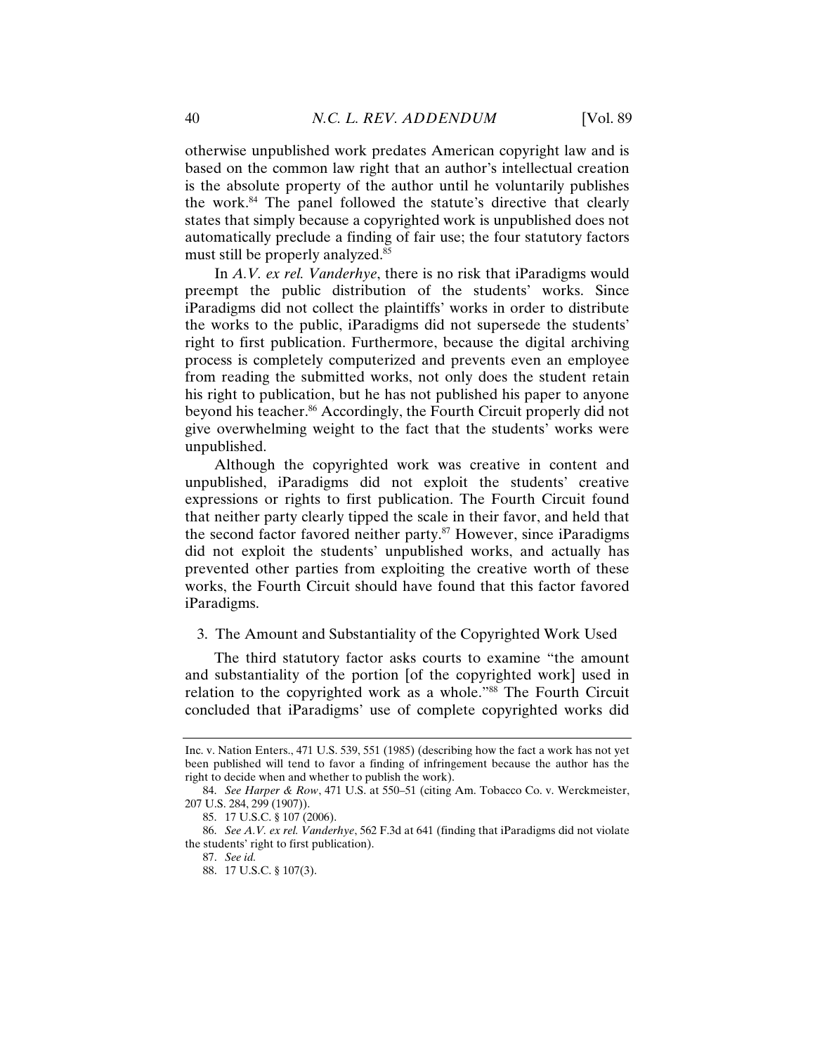otherwise unpublished work predates American copyright law and is based on the common law right that an author's intellectual creation is the absolute property of the author until he voluntarily publishes the work.84 The panel followed the statute's directive that clearly states that simply because a copyrighted work is unpublished does not automatically preclude a finding of fair use; the four statutory factors must still be properly analyzed.<sup>85</sup>

In *A.V. ex rel. Vanderhye*, there is no risk that iParadigms would preempt the public distribution of the students' works. Since iParadigms did not collect the plaintiffs' works in order to distribute the works to the public, iParadigms did not supersede the students' right to first publication. Furthermore, because the digital archiving process is completely computerized and prevents even an employee from reading the submitted works, not only does the student retain his right to publication, but he has not published his paper to anyone beyond his teacher.<sup>86</sup> Accordingly, the Fourth Circuit properly did not give overwhelming weight to the fact that the students' works were unpublished.

Although the copyrighted work was creative in content and unpublished, iParadigms did not exploit the students' creative expressions or rights to first publication. The Fourth Circuit found that neither party clearly tipped the scale in their favor, and held that the second factor favored neither party.87 However, since iParadigms did not exploit the students' unpublished works, and actually has prevented other parties from exploiting the creative worth of these works, the Fourth Circuit should have found that this factor favored iParadigms.

### 3. The Amount and Substantiality of the Copyrighted Work Used

The third statutory factor asks courts to examine "the amount and substantiality of the portion [of the copyrighted work] used in relation to the copyrighted work as a whole."88 The Fourth Circuit concluded that iParadigms' use of complete copyrighted works did

Inc. v. Nation Enters., 471 U.S. 539, 551 (1985) (describing how the fact a work has not yet been published will tend to favor a finding of infringement because the author has the right to decide when and whether to publish the work).

 <sup>84.</sup> *See Harper & Row*, 471 U.S. at 550–51 (citing Am. Tobacco Co. v. Werckmeister, 207 U.S. 284, 299 (1907)).

 <sup>85. 17</sup> U.S.C. § 107 (2006).

 <sup>86.</sup> *See A.V. ex rel. Vanderhye*, 562 F.3d at 641 (finding that iParadigms did not violate the students' right to first publication).

<sup>87.</sup> *See id.*

 <sup>88. 17</sup> U.S.C. § 107(3).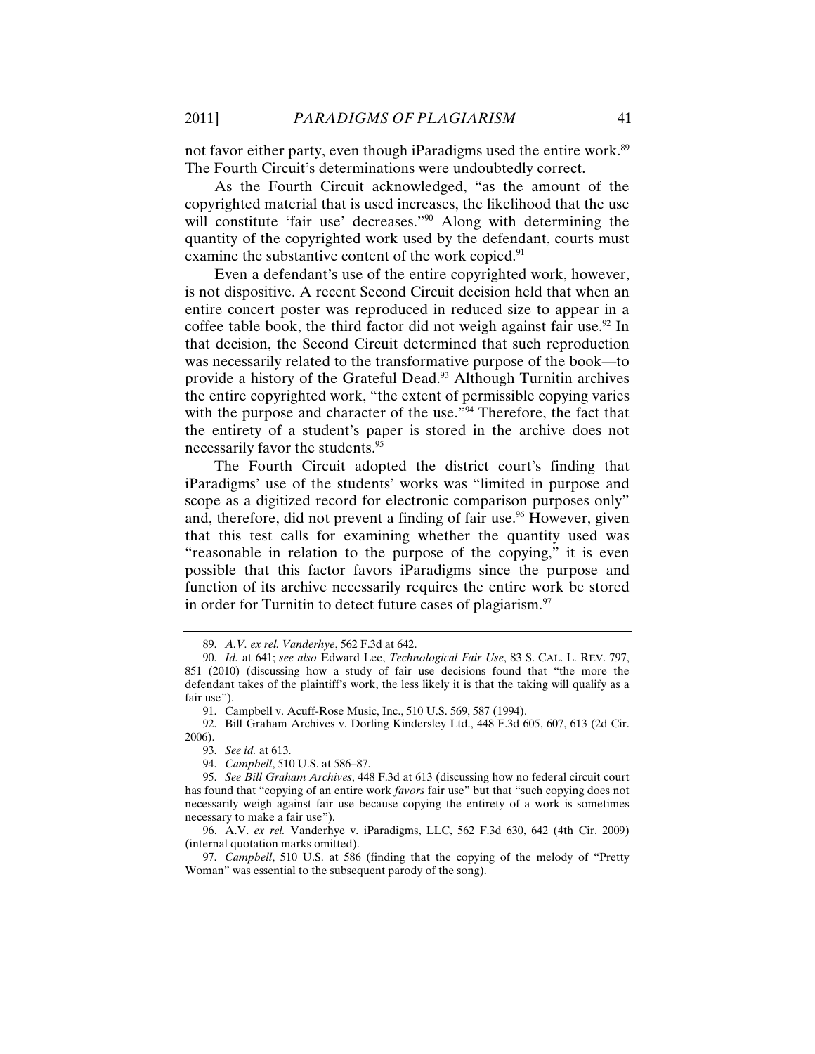not favor either party, even though iParadigms used the entire work.<sup>89</sup> The Fourth Circuit's determinations were undoubtedly correct.

As the Fourth Circuit acknowledged, "as the amount of the copyrighted material that is used increases, the likelihood that the use will constitute 'fair use' decreases."<sup>90</sup> Along with determining the quantity of the copyrighted work used by the defendant, courts must examine the substantive content of the work copied.<sup>91</sup>

Even a defendant's use of the entire copyrighted work, however, is not dispositive. A recent Second Circuit decision held that when an entire concert poster was reproduced in reduced size to appear in a coffee table book, the third factor did not weigh against fair use.<sup>92</sup> In that decision, the Second Circuit determined that such reproduction was necessarily related to the transformative purpose of the book—to provide a history of the Grateful Dead.<sup>93</sup> Although Turnitin archives the entire copyrighted work, "the extent of permissible copying varies with the purpose and character of the use."<sup>94</sup> Therefore, the fact that the entirety of a student's paper is stored in the archive does not necessarily favor the students.95

The Fourth Circuit adopted the district court's finding that iParadigms' use of the students' works was "limited in purpose and scope as a digitized record for electronic comparison purposes only" and, therefore, did not prevent a finding of fair use.<sup>96</sup> However, given that this test calls for examining whether the quantity used was "reasonable in relation to the purpose of the copying," it is even possible that this factor favors iParadigms since the purpose and function of its archive necessarily requires the entire work be stored in order for Turnitin to detect future cases of plagiarism. $97$ 

 <sup>89.</sup> *A.V. ex rel. Vanderhye*, 562 F.3d at 642.

 <sup>90.</sup> *Id.* at 641; *see also* Edward Lee, *Technological Fair Use*, 83 S. CAL. L. REV. 797, 851 (2010) (discussing how a study of fair use decisions found that "the more the defendant takes of the plaintiff's work, the less likely it is that the taking will qualify as a fair use").

 <sup>91.</sup> Campbell v. Acuff-Rose Music, Inc., 510 U.S. 569, 587 (1994).

 <sup>92.</sup> Bill Graham Archives v. Dorling Kindersley Ltd., 448 F.3d 605, 607, 613 (2d Cir. 2006).

 <sup>93.</sup> *See id.* at 613.

 <sup>94.</sup> *Campbell*, 510 U.S. at 586–87.

 <sup>95.</sup> *See Bill Graham Archives*, 448 F.3d at 613 (discussing how no federal circuit court has found that "copying of an entire work *favors* fair use" but that "such copying does not necessarily weigh against fair use because copying the entirety of a work is sometimes necessary to make a fair use").

 <sup>96.</sup> A.V. *ex rel.* Vanderhye v. iParadigms, LLC, 562 F.3d 630, 642 (4th Cir. 2009) (internal quotation marks omitted).

 <sup>97.</sup> *Campbell*, 510 U.S. at 586 (finding that the copying of the melody of "Pretty Woman" was essential to the subsequent parody of the song).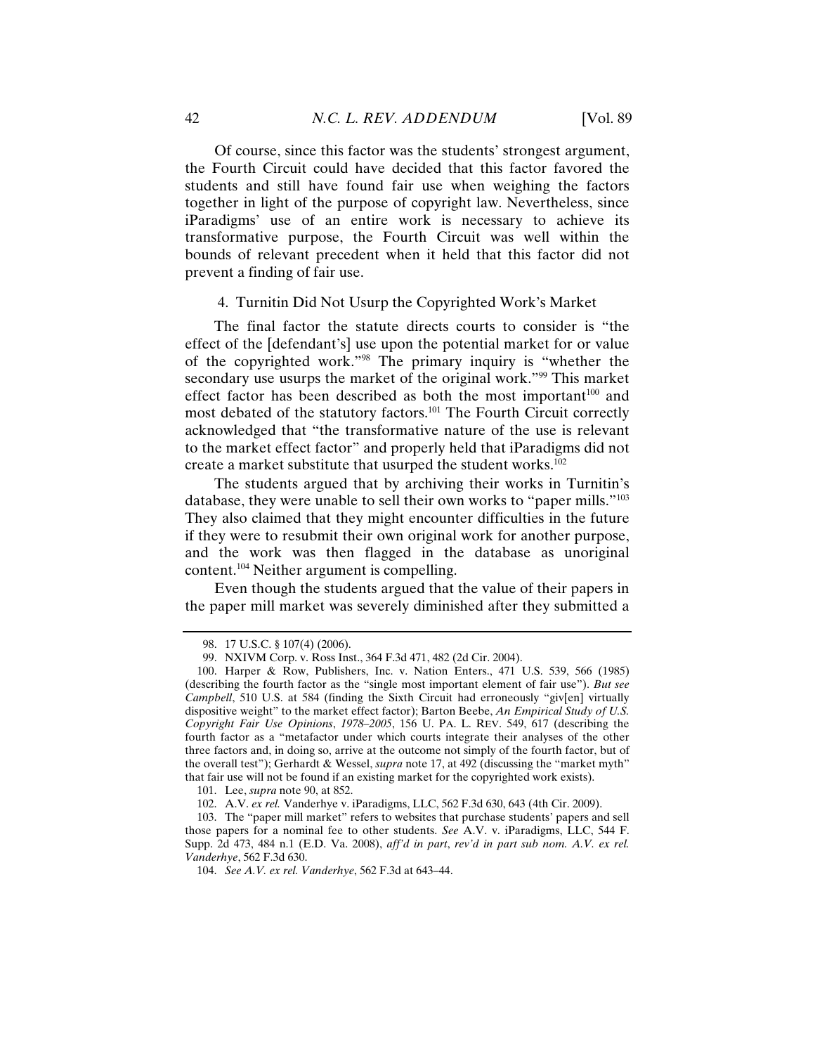Of course, since this factor was the students' strongest argument, the Fourth Circuit could have decided that this factor favored the students and still have found fair use when weighing the factors together in light of the purpose of copyright law. Nevertheless, since iParadigms' use of an entire work is necessary to achieve its transformative purpose, the Fourth Circuit was well within the bounds of relevant precedent when it held that this factor did not prevent a finding of fair use.

### 4. Turnitin Did Not Usurp the Copyrighted Work's Market

The final factor the statute directs courts to consider is "the effect of the [defendant's] use upon the potential market for or value of the copyrighted work."98 The primary inquiry is "whether the secondary use usurps the market of the original work."<sup>99</sup> This market effect factor has been described as both the most important<sup>100</sup> and most debated of the statutory factors.101 The Fourth Circuit correctly acknowledged that "the transformative nature of the use is relevant to the market effect factor" and properly held that iParadigms did not create a market substitute that usurped the student works.<sup>102</sup>

The students argued that by archiving their works in Turnitin's database, they were unable to sell their own works to "paper mills."103 They also claimed that they might encounter difficulties in the future if they were to resubmit their own original work for another purpose, and the work was then flagged in the database as unoriginal content.104 Neither argument is compelling.

Even though the students argued that the value of their papers in the paper mill market was severely diminished after they submitted a

 <sup>98. 17</sup> U.S.C. § 107(4) (2006).

 <sup>99.</sup> NXIVM Corp. v. Ross Inst., 364 F.3d 471, 482 (2d Cir. 2004).

 <sup>100.</sup> Harper & Row, Publishers, Inc. v. Nation Enters., 471 U.S. 539, 566 (1985) (describing the fourth factor as the "single most important element of fair use"). *But see Campbell*, 510 U.S. at 584 (finding the Sixth Circuit had erroneously "giv[en] virtually dispositive weight" to the market effect factor); Barton Beebe, *An Empirical Study of U.S. Copyright Fair Use Opinions*, *1978–2005*, 156 U. PA. L. REV. 549, 617 (describing the fourth factor as a "metafactor under which courts integrate their analyses of the other three factors and, in doing so, arrive at the outcome not simply of the fourth factor, but of the overall test"); Gerhardt & Wessel, *supra* note 17, at 492 (discussing the "market myth" that fair use will not be found if an existing market for the copyrighted work exists).

 <sup>101.</sup> Lee, *supra* note 90, at 852.

 <sup>102.</sup> A.V. *ex rel.* Vanderhye v. iParadigms, LLC, 562 F.3d 630, 643 (4th Cir. 2009).

 <sup>103.</sup> The "paper mill market" refers to websites that purchase students' papers and sell those papers for a nominal fee to other students. *See* A.V. v. iParadigms, LLC, 544 F. Supp. 2d 473, 484 n.1 (E.D. Va. 2008), *aff'd in part*, *rev'd in part sub nom. A.V. ex rel. Vanderhye*, 562 F.3d 630.

 <sup>104.</sup> *See A.V. ex rel. Vanderhye*, 562 F.3d at 643–44.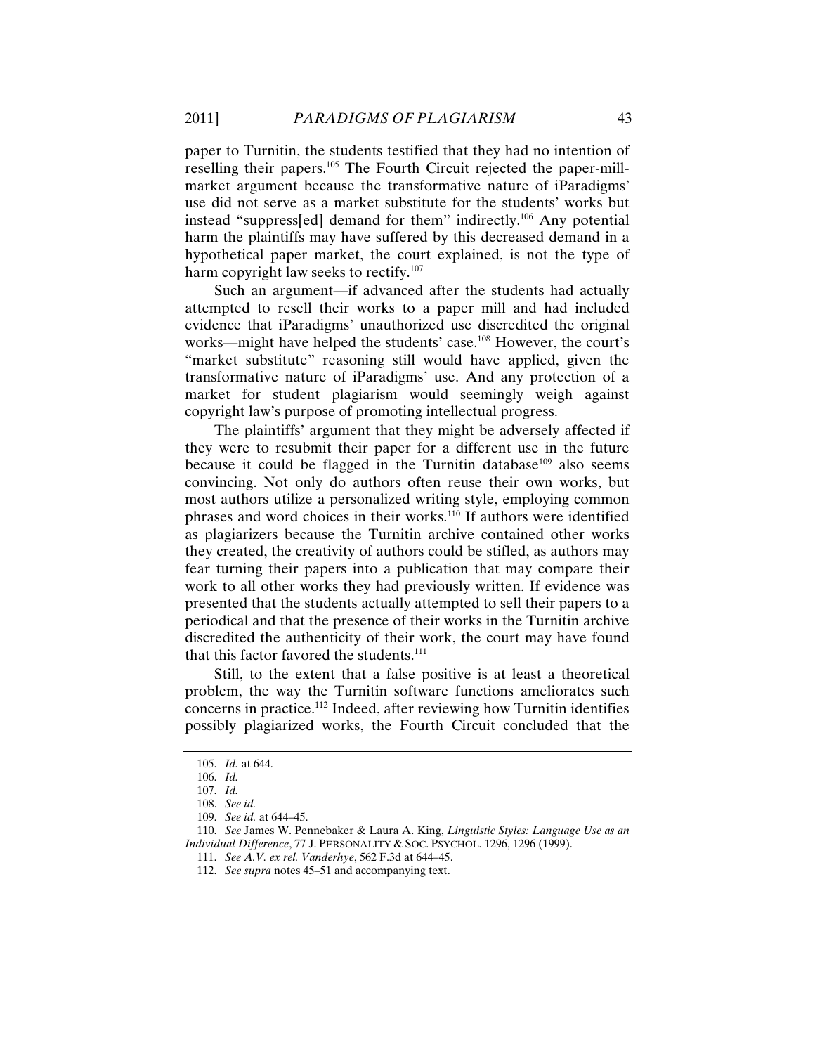paper to Turnitin, the students testified that they had no intention of reselling their papers.105 The Fourth Circuit rejected the paper-millmarket argument because the transformative nature of iParadigms' use did not serve as a market substitute for the students' works but instead "suppress[ed] demand for them" indirectly.106 Any potential harm the plaintiffs may have suffered by this decreased demand in a hypothetical paper market, the court explained, is not the type of harm copyright law seeks to rectify.<sup>107</sup>

Such an argument—if advanced after the students had actually attempted to resell their works to a paper mill and had included evidence that iParadigms' unauthorized use discredited the original works—might have helped the students' case.<sup>108</sup> However, the court's "market substitute" reasoning still would have applied, given the transformative nature of iParadigms' use. And any protection of a market for student plagiarism would seemingly weigh against copyright law's purpose of promoting intellectual progress.

The plaintiffs' argument that they might be adversely affected if they were to resubmit their paper for a different use in the future because it could be flagged in the Turnitin database<sup>109</sup> also seems convincing. Not only do authors often reuse their own works, but most authors utilize a personalized writing style, employing common phrases and word choices in their works.110 If authors were identified as plagiarizers because the Turnitin archive contained other works they created, the creativity of authors could be stifled, as authors may fear turning their papers into a publication that may compare their work to all other works they had previously written. If evidence was presented that the students actually attempted to sell their papers to a periodical and that the presence of their works in the Turnitin archive discredited the authenticity of their work, the court may have found that this factor favored the students. $111$ 

Still, to the extent that a false positive is at least a theoretical problem, the way the Turnitin software functions ameliorates such concerns in practice.112 Indeed, after reviewing how Turnitin identifies possibly plagiarized works, the Fourth Circuit concluded that the

 <sup>105.</sup> *Id.* at 644.

 <sup>106.</sup> *Id.*

 <sup>107.</sup> *Id.* 

 <sup>108.</sup> *See id.*

 <sup>109.</sup> *See id.* at 644–45.

 <sup>110.</sup> *See* James W. Pennebaker & Laura A. King, *Linguistic Styles: Language Use as an Individual Difference*, 77 J. PERSONALITY & SOC. PSYCHOL. 1296, 1296 (1999).

 <sup>111.</sup> *See A.V. ex rel. Vanderhye*, 562 F.3d at 644–45.

 <sup>112.</sup> *See supra* notes 45–51 and accompanying text.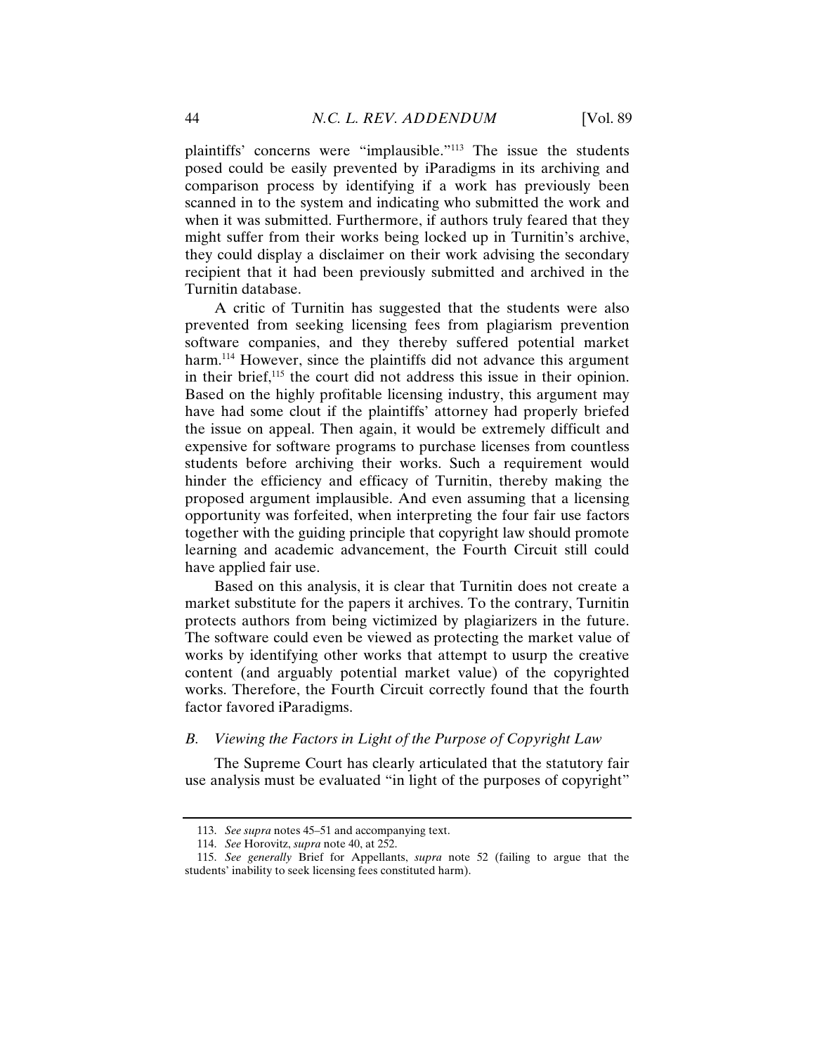plaintiffs' concerns were "implausible."113 The issue the students posed could be easily prevented by iParadigms in its archiving and comparison process by identifying if a work has previously been scanned in to the system and indicating who submitted the work and when it was submitted. Furthermore, if authors truly feared that they might suffer from their works being locked up in Turnitin's archive, they could display a disclaimer on their work advising the secondary recipient that it had been previously submitted and archived in the Turnitin database.

A critic of Turnitin has suggested that the students were also prevented from seeking licensing fees from plagiarism prevention software companies, and they thereby suffered potential market harm.<sup>114</sup> However, since the plaintiffs did not advance this argument in their brief,115 the court did not address this issue in their opinion. Based on the highly profitable licensing industry, this argument may have had some clout if the plaintiffs' attorney had properly briefed the issue on appeal. Then again, it would be extremely difficult and expensive for software programs to purchase licenses from countless students before archiving their works. Such a requirement would hinder the efficiency and efficacy of Turnitin, thereby making the proposed argument implausible. And even assuming that a licensing opportunity was forfeited, when interpreting the four fair use factors together with the guiding principle that copyright law should promote learning and academic advancement, the Fourth Circuit still could have applied fair use.

Based on this analysis, it is clear that Turnitin does not create a market substitute for the papers it archives. To the contrary, Turnitin protects authors from being victimized by plagiarizers in the future. The software could even be viewed as protecting the market value of works by identifying other works that attempt to usurp the creative content (and arguably potential market value) of the copyrighted works. Therefore, the Fourth Circuit correctly found that the fourth factor favored iParadigms.

# *B. Viewing the Factors in Light of the Purpose of Copyright Law*

The Supreme Court has clearly articulated that the statutory fair use analysis must be evaluated "in light of the purposes of copyright"

 <sup>113.</sup> *See supra* notes 45–51 and accompanying text.

 <sup>114.</sup> *See* Horovitz, *supra* note 40, at 252.

 <sup>115.</sup> *See generally* Brief for Appellants, *supra* note 52 (failing to argue that the students' inability to seek licensing fees constituted harm).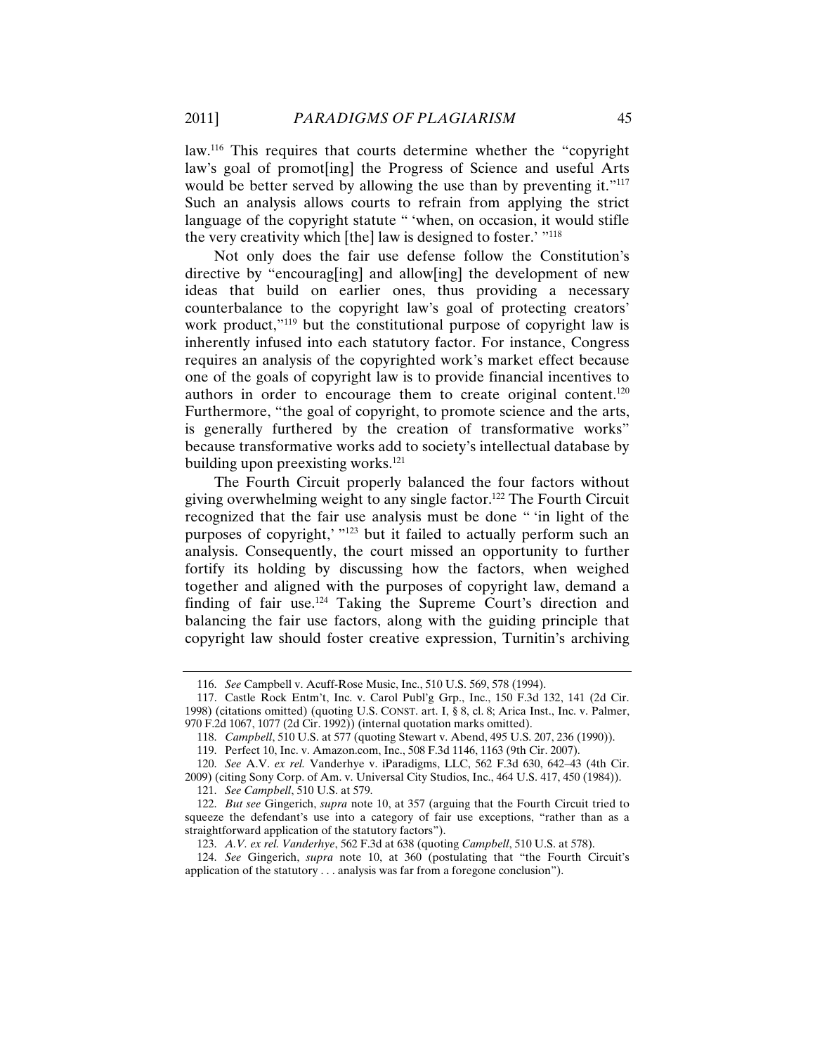law.116 This requires that courts determine whether the "copyright law's goal of promot[ing] the Progress of Science and useful Arts would be better served by allowing the use than by preventing it."<sup>117</sup> Such an analysis allows courts to refrain from applying the strict language of the copyright statute " 'when, on occasion, it would stifle the very creativity which [the] law is designed to foster.' "118

Not only does the fair use defense follow the Constitution's directive by "encourag[ing] and allow[ing] the development of new ideas that build on earlier ones, thus providing a necessary counterbalance to the copyright law's goal of protecting creators' work product,"<sup>119</sup> but the constitutional purpose of copyright law is inherently infused into each statutory factor. For instance, Congress requires an analysis of the copyrighted work's market effect because one of the goals of copyright law is to provide financial incentives to authors in order to encourage them to create original content.<sup>120</sup> Furthermore, "the goal of copyright, to promote science and the arts, is generally furthered by the creation of transformative works" because transformative works add to society's intellectual database by building upon preexisting works. $^{121}$ 

The Fourth Circuit properly balanced the four factors without giving overwhelming weight to any single factor.122 The Fourth Circuit recognized that the fair use analysis must be done " 'in light of the purposes of copyright,' "123 but it failed to actually perform such an analysis. Consequently, the court missed an opportunity to further fortify its holding by discussing how the factors, when weighed together and aligned with the purposes of copyright law, demand a finding of fair use.<sup>124</sup> Taking the Supreme Court's direction and balancing the fair use factors, along with the guiding principle that copyright law should foster creative expression, Turnitin's archiving

 <sup>116.</sup> *See* Campbell v. Acuff-Rose Music, Inc., 510 U.S. 569, 578 (1994).

 <sup>117.</sup> Castle Rock Entm't, Inc. v. Carol Publ'g Grp., Inc., 150 F.3d 132, 141 (2d Cir. 1998) (citations omitted) (quoting U.S. CONST. art. I, § 8, cl. 8; Arica Inst., Inc. v. Palmer, 970 F.2d 1067, 1077 (2d Cir. 1992)) (internal quotation marks omitted).

 <sup>118.</sup> *Campbell*, 510 U.S. at 577 (quoting Stewart v. Abend, 495 U.S. 207, 236 (1990)).

 <sup>119.</sup> Perfect 10, Inc. v. Amazon.com, Inc., 508 F.3d 1146, 1163 (9th Cir. 2007).

 <sup>120.</sup> *See* A.V. *ex rel.* Vanderhye v. iParadigms, LLC, 562 F.3d 630, 642–43 (4th Cir.

<sup>2009) (</sup>citing Sony Corp. of Am. v. Universal City Studios, Inc., 464 U.S. 417, 450 (1984)). 121. *See Campbell*, 510 U.S. at 579.

 <sup>122.</sup> *But see* Gingerich, *supra* note 10, at 357 (arguing that the Fourth Circuit tried to squeeze the defendant's use into a category of fair use exceptions, "rather than as a straightforward application of the statutory factors").

 <sup>123.</sup> *A.V. ex rel. Vanderhye*, 562 F.3d at 638 (quoting *Campbell*, 510 U.S. at 578).

 <sup>124.</sup> *See* Gingerich, *supra* note 10, at 360 (postulating that "the Fourth Circuit's application of the statutory . . . analysis was far from a foregone conclusion").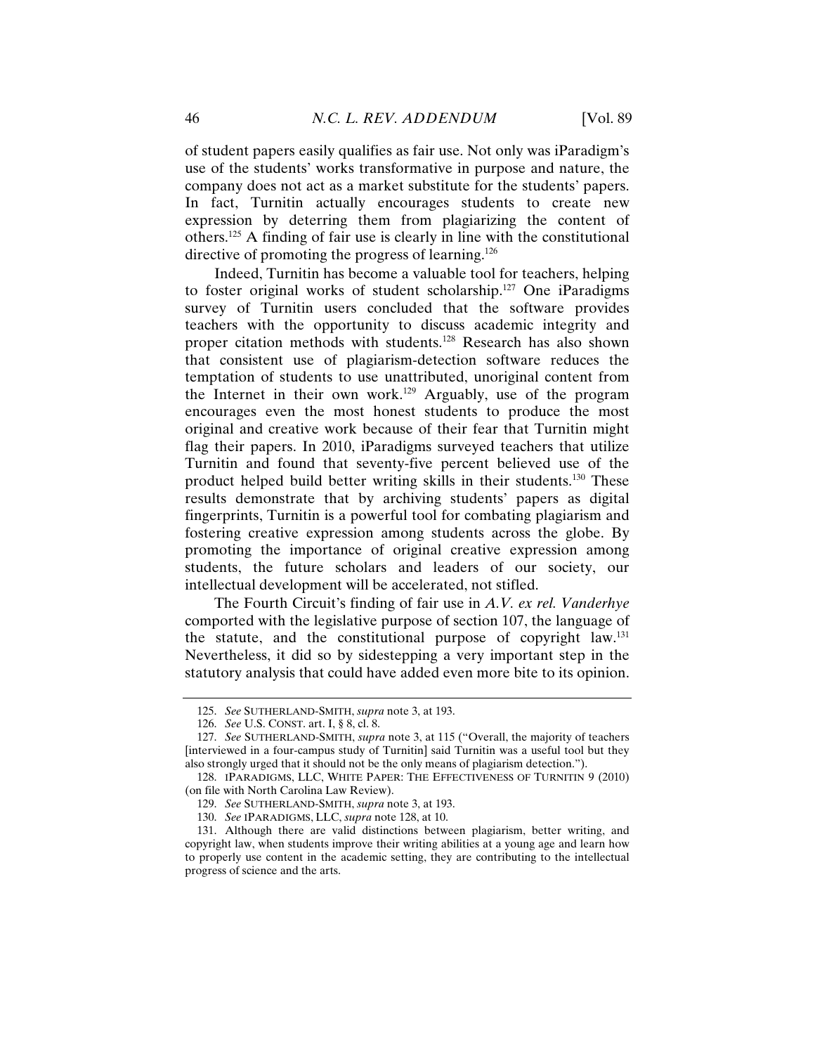of student papers easily qualifies as fair use. Not only was iParadigm's use of the students' works transformative in purpose and nature, the company does not act as a market substitute for the students' papers. In fact, Turnitin actually encourages students to create new expression by deterring them from plagiarizing the content of others.125 A finding of fair use is clearly in line with the constitutional directive of promoting the progress of learning.<sup>126</sup>

Indeed, Turnitin has become a valuable tool for teachers, helping to foster original works of student scholarship.127 One iParadigms survey of Turnitin users concluded that the software provides teachers with the opportunity to discuss academic integrity and proper citation methods with students.128 Research has also shown that consistent use of plagiarism-detection software reduces the temptation of students to use unattributed, unoriginal content from the Internet in their own work.<sup>129</sup> Arguably, use of the program encourages even the most honest students to produce the most original and creative work because of their fear that Turnitin might flag their papers. In 2010, iParadigms surveyed teachers that utilize Turnitin and found that seventy-five percent believed use of the product helped build better writing skills in their students.130 These results demonstrate that by archiving students' papers as digital fingerprints, Turnitin is a powerful tool for combating plagiarism and fostering creative expression among students across the globe. By promoting the importance of original creative expression among students, the future scholars and leaders of our society, our intellectual development will be accelerated, not stifled.

The Fourth Circuit's finding of fair use in *A.V. ex rel. Vanderhye* comported with the legislative purpose of section 107, the language of the statute, and the constitutional purpose of copyright law.131 Nevertheless, it did so by sidestepping a very important step in the statutory analysis that could have added even more bite to its opinion.

 <sup>125.</sup> *See* SUTHERLAND-SMITH, *supra* note 3, at 193.

 <sup>126.</sup> *See* U.S. CONST. art. I, § 8, cl. 8.

 <sup>127.</sup> *See* SUTHERLAND-SMITH, *supra* note 3, at 115 ("Overall, the majority of teachers [interviewed in a four-campus study of Turnitin] said Turnitin was a useful tool but they also strongly urged that it should not be the only means of plagiarism detection.").

 <sup>128.</sup> IPARADIGMS, LLC, WHITE PAPER: THE EFFECTIVENESS OF TURNITIN 9 (2010) (on file with North Carolina Law Review).

 <sup>129.</sup> *See* SUTHERLAND-SMITH, *supra* note 3, at 193.

 <sup>130.</sup> *See* IPARADIGMS, LLC, *supra* note 128, at 10.

 <sup>131.</sup> Although there are valid distinctions between plagiarism, better writing, and copyright law, when students improve their writing abilities at a young age and learn how to properly use content in the academic setting, they are contributing to the intellectual progress of science and the arts.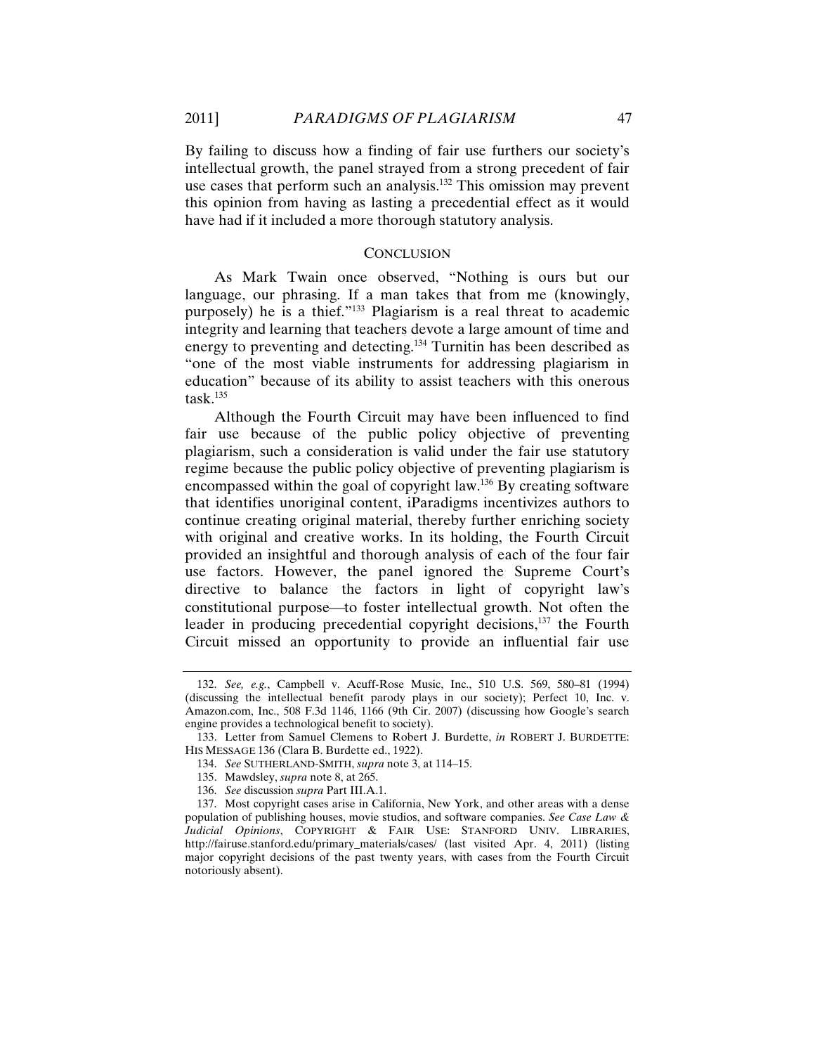By failing to discuss how a finding of fair use furthers our society's intellectual growth, the panel strayed from a strong precedent of fair use cases that perform such an analysis.<sup>132</sup> This omission may prevent this opinion from having as lasting a precedential effect as it would have had if it included a more thorough statutory analysis.

### **CONCLUSION**

As Mark Twain once observed, "Nothing is ours but our language, our phrasing. If a man takes that from me (knowingly, purposely) he is a thief."133 Plagiarism is a real threat to academic integrity and learning that teachers devote a large amount of time and energy to preventing and detecting.134 Turnitin has been described as "one of the most viable instruments for addressing plagiarism in education" because of its ability to assist teachers with this onerous task. $135$ 

Although the Fourth Circuit may have been influenced to find fair use because of the public policy objective of preventing plagiarism, such a consideration is valid under the fair use statutory regime because the public policy objective of preventing plagiarism is encompassed within the goal of copyright law.136 By creating software that identifies unoriginal content, iParadigms incentivizes authors to continue creating original material, thereby further enriching society with original and creative works. In its holding, the Fourth Circuit provided an insightful and thorough analysis of each of the four fair use factors. However, the panel ignored the Supreme Court's directive to balance the factors in light of copyright law's constitutional purpose—to foster intellectual growth. Not often the leader in producing precedential copyright decisions,<sup>137</sup> the Fourth Circuit missed an opportunity to provide an influential fair use

 <sup>132.</sup> *See, e.g.*, Campbell v. Acuff-Rose Music, Inc., 510 U.S. 569, 580–81 (1994) (discussing the intellectual benefit parody plays in our society); Perfect 10, Inc. v. Amazon.com, Inc., 508 F.3d 1146, 1166 (9th Cir. 2007) (discussing how Google's search engine provides a technological benefit to society).

 <sup>133.</sup> Letter from Samuel Clemens to Robert J. Burdette, *in* ROBERT J. BURDETTE: HIS MESSAGE 136 (Clara B. Burdette ed., 1922).

 <sup>134.</sup> *See* SUTHERLAND-SMITH, *supra* note 3, at 114–15.

 <sup>135.</sup> Mawdsley, *supra* note 8, at 265.

 <sup>136.</sup> *See* discussion *supra* Part III.A.1.

 <sup>137.</sup> Most copyright cases arise in California, New York, and other areas with a dense population of publishing houses, movie studios, and software companies. *See Case Law & Judicial Opinions*, COPYRIGHT & FAIR USE: STANFORD UNIV. LIBRARIES, http://fairuse.stanford.edu/primary\_materials/cases/ (last visited Apr. 4, 2011) (listing major copyright decisions of the past twenty years, with cases from the Fourth Circuit notoriously absent).